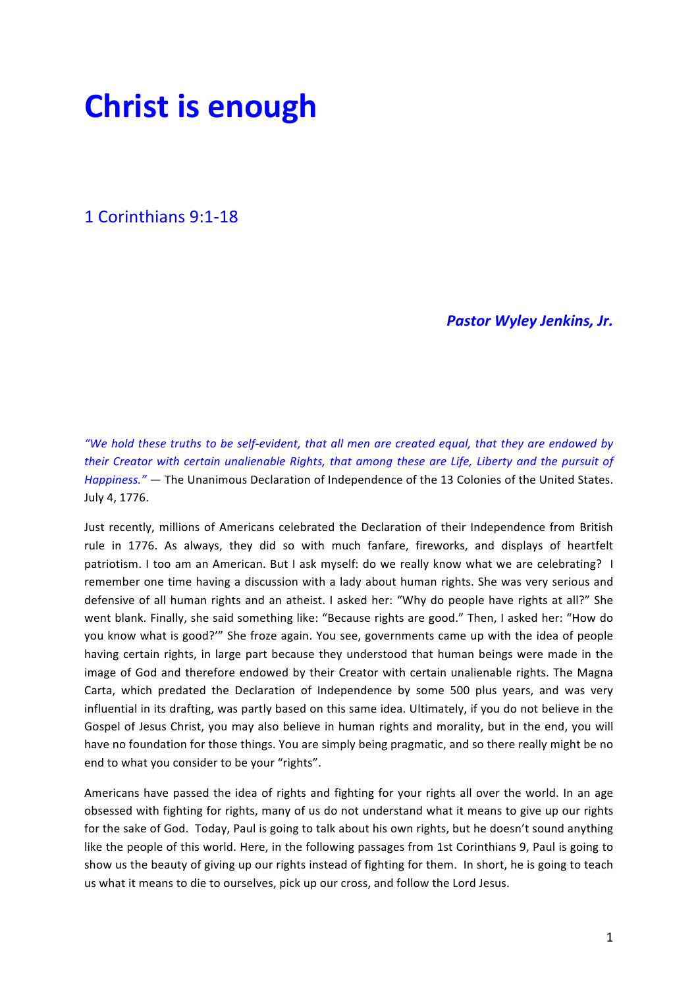# **Christ is enough**

1 Corinthians 9:1-18

**Pastor Wyley Jenkins, Jr.** 

*"We hold these truths to be self-evident, that all men are created equal, that they are endowed by their* Creator with certain unalienable Rights, that among these are Life, Liberty and the pursuit of *Happiness."* — The Unanimous Declaration of Independence of the 13 Colonies of the United States. July 4, 1776.

Just recently, millions of Americans celebrated the Declaration of their Independence from British rule in 1776. As always, they did so with much fanfare, fireworks, and displays of heartfelt patriotism. I too am an American. But I ask myself: do we really know what we are celebrating? I remember one time having a discussion with a lady about human rights. She was very serious and defensive of all human rights and an atheist. I asked her: "Why do people have rights at all?" She went blank. Finally, she said something like: "Because rights are good." Then, I asked her: "How do you know what is good?" She froze again. You see, governments came up with the idea of people having certain rights, in large part because they understood that human beings were made in the image of God and therefore endowed by their Creator with certain unalienable rights. The Magna Carta, which predated the Declaration of Independence by some 500 plus years, and was very influential in its drafting, was partly based on this same idea. Ultimately, if you do not believe in the Gospel of Jesus Christ, you may also believe in human rights and morality, but in the end, you will have no foundation for those things. You are simply being pragmatic, and so there really might be no end to what you consider to be your "rights".

Americans have passed the idea of rights and fighting for your rights all over the world. In an age obsessed with fighting for rights, many of us do not understand what it means to give up our rights for the sake of God. Today, Paul is going to talk about his own rights, but he doesn't sound anything like the people of this world. Here, in the following passages from 1st Corinthians 9, Paul is going to show us the beauty of giving up our rights instead of fighting for them. In short, he is going to teach us what it means to die to ourselves, pick up our cross, and follow the Lord Jesus.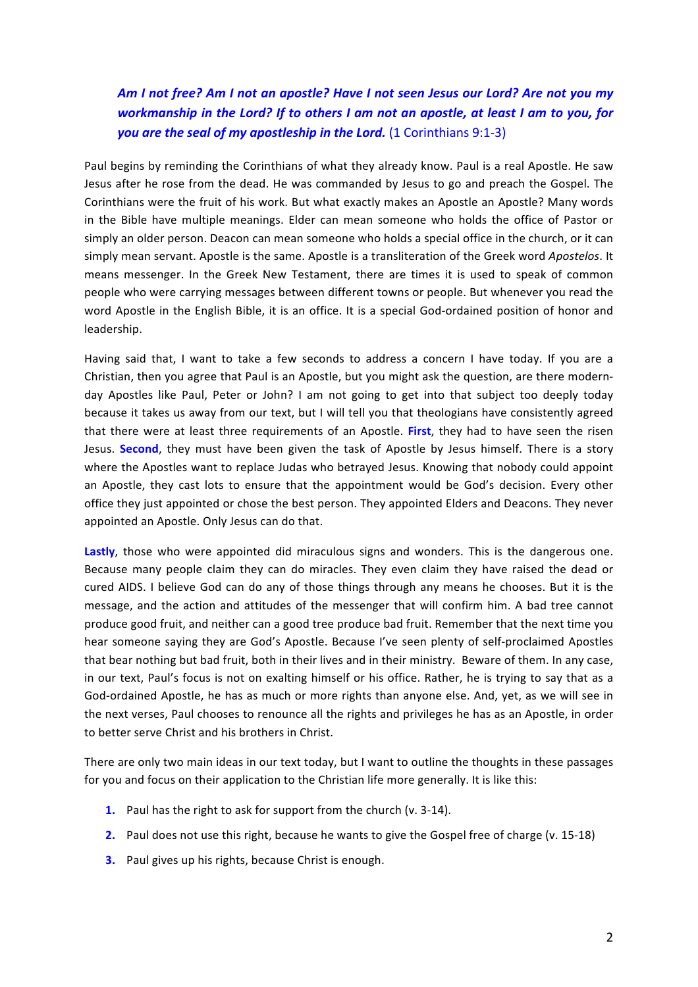### Am I not free? Am I not an apostle? Have I not seen Jesus our Lord? Are not you my *workmanship* in the Lord? If to others I am not an apostle, at least I am to you, for **you are the seal of my apostleship in the Lord.** (1 Corinthians 9:1-3)

Paul begins by reminding the Corinthians of what they already know. Paul is a real Apostle. He saw Jesus after he rose from the dead. He was commanded by Jesus to go and preach the Gospel. The Corinthians were the fruit of his work. But what exactly makes an Apostle an Apostle? Many words in the Bible have multiple meanings. Elder can mean someone who holds the office of Pastor or simply an older person. Deacon can mean someone who holds a special office in the church, or it can simply mean servant. Apostle is the same. Apostle is a transliteration of the Greek word *Apostelos*. It means messenger. In the Greek New Testament, there are times it is used to speak of common people who were carrying messages between different towns or people. But whenever you read the word Apostle in the English Bible, it is an office. It is a special God-ordained position of honor and leadership. 

Having said that, I want to take a few seconds to address a concern I have today. If you are a Christian, then you agree that Paul is an Apostle, but you might ask the question, are there modernday Apostles like Paul, Peter or John? I am not going to get into that subject too deeply today because it takes us away from our text, but I will tell you that theologians have consistently agreed that there were at least three requirements of an Apostle. First, they had to have seen the risen Jesus. Second, they must have been given the task of Apostle by Jesus himself. There is a story where the Apostles want to replace Judas who betrayed Jesus. Knowing that nobody could appoint an Apostle, they cast lots to ensure that the appointment would be God's decision. Every other office they just appointed or chose the best person. They appointed Elders and Deacons. They never appointed an Apostle. Only Jesus can do that.

**Lastly**, those who were appointed did miraculous signs and wonders. This is the dangerous one. Because many people claim they can do miracles. They even claim they have raised the dead or cured AIDS. I believe God can do any of those things through any means he chooses. But it is the message, and the action and attitudes of the messenger that will confirm him. A bad tree cannot produce good fruit, and neither can a good tree produce bad fruit. Remember that the next time you hear someone saying they are God's Apostle. Because I've seen plenty of self-proclaimed Apostles that bear nothing but bad fruit, both in their lives and in their ministry. Beware of them. In any case, in our text, Paul's focus is not on exalting himself or his office. Rather, he is trying to say that as a God-ordained Apostle, he has as much or more rights than anyone else. And, yet, as we will see in the next verses. Paul chooses to renounce all the rights and privileges he has as an Apostle, in order to better serve Christ and his brothers in Christ.

There are only two main ideas in our text today, but I want to outline the thoughts in these passages for you and focus on their application to the Christian life more generally. It is like this:

- **1.** Paul has the right to ask for support from the church (v. 3-14).
- **2.** Paul does not use this right, because he wants to give the Gospel free of charge (v. 15-18)
- **3.** Paul gives up his rights, because Christ is enough.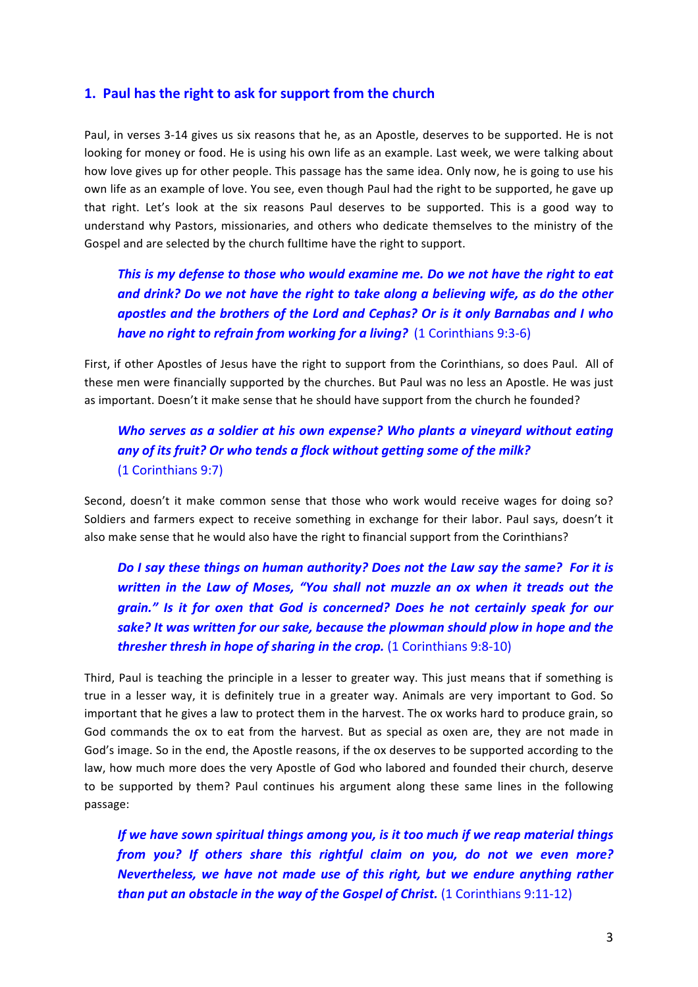#### **1. Paul has the right to ask for support from the church**

Paul, in verses 3-14 gives us six reasons that he, as an Apostle, deserves to be supported. He is not looking for money or food. He is using his own life as an example. Last week, we were talking about how love gives up for other people. This passage has the same idea. Only now, he is going to use his own life as an example of love. You see, even though Paul had the right to be supported, he gave up that right. Let's look at the six reasons Paul deserves to be supported. This is a good way to understand why Pastors, missionaries, and others who dedicate themselves to the ministry of the Gospel and are selected by the church fulltime have the right to support.

## This is my defense to those who would examine me. Do we not have the right to eat and drink? Do we not have the right to take along a believing wife, as do the other *apostles and the brothers of the Lord and Cephas? Or is it only Barnabas and I who have no right to refrain from working for a living?* (1 Corinthians 9:3-6)

First, if other Apostles of Jesus have the right to support from the Corinthians, so does Paul. All of these men were financially supported by the churches. But Paul was no less an Apostle. He was just as important. Doesn't it make sense that he should have support from the church he founded?

### *Who serves as a soldier at his own expense? Who plants a vineyard without eating* any of its fruit? Or who tends a flock without getting some of the milk? (1 Corinthians 9:7)

Second, doesn't it make common sense that those who work would receive wages for doing so? Soldiers and farmers expect to receive something in exchange for their labor. Paul says, doesn't it also make sense that he would also have the right to financial support from the Corinthians?

*Do I* say these things on human authority? Does not the Law say the same? For it is *written* in the Law of Moses, "You shall not muzzle an ox when it treads out the *grain."* Is it for oxen that God is concerned? Does he not certainly speak for our sake? It was written for our sake, because the plowman should plow in hope and the *thresher thresh in hope of sharing in the crop.* (1 Corinthians 9:8-10)

Third, Paul is teaching the principle in a lesser to greater way. This just means that if something is true in a lesser way, it is definitely true in a greater way. Animals are very important to God. So important that he gives a law to protect them in the harvest. The ox works hard to produce grain, so God commands the ox to eat from the harvest. But as special as oxen are, they are not made in God's image. So in the end, the Apostle reasons, if the ox deserves to be supported according to the law, how much more does the very Apostle of God who labored and founded their church, deserve to be supported by them? Paul continues his argument along these same lines in the following passage:

*If* we have sown spiritual things among you, is it too much if we reap material things *from* you? If others share this rightful claim on you, do not we even more? *Nevertheless, we have not made use of this right, but we endure anything rather than put an obstacle in the way of the Gospel of Christ.* (1 Corinthians 9:11-12)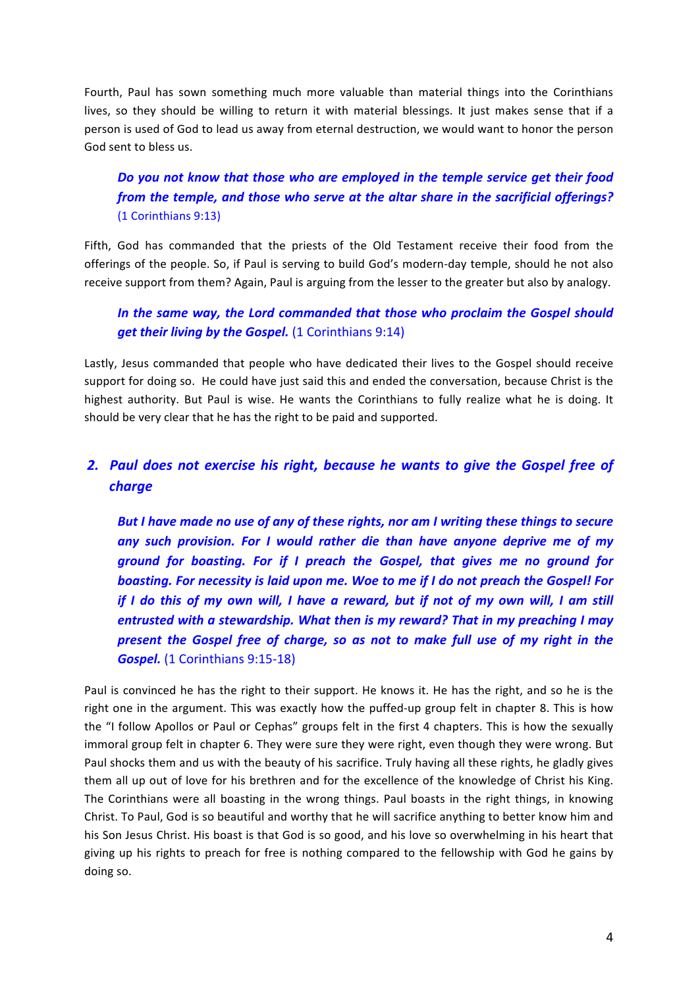Fourth, Paul has sown something much more valuable than material things into the Corinthians lives, so they should be willing to return it with material blessings. It just makes sense that if a person is used of God to lead us away from eternal destruction, we would want to honor the person God sent to bless us.

### *Do you not know that those who are employed in the temple service get their food from the temple, and those who serve at the altar share in the sacrificial offerings?* (1 Corinthians 9:13)

Fifth, God has commanded that the priests of the Old Testament receive their food from the offerings of the people. So, if Paul is serving to build God's modern-day temple, should he not also receive support from them? Again, Paul is arguing from the lesser to the greater but also by analogy.

#### In the same way, the Lord commanded that those who proclaim the Gospel should **get their living by the Gospel.** (1 Corinthians 9:14)

Lastly, Jesus commanded that people who have dedicated their lives to the Gospel should receive support for doing so. He could have just said this and ended the conversation, because Christ is the highest authority. But Paul is wise. He wants the Corinthians to fully realize what he is doing. It should be very clear that he has the right to be paid and supported.

## **2.** Paul does not exercise his right, because he wants to give the Gospel free of *charge*

But I have made no use of any of these rights, nor am I writing these things to secure *any* such provision. For I would rather die than have anyone deprive me of my ground for boasting. For if I preach the Gospel, that gives me no ground for **boasting.** For necessity is laid upon me. Woe to me if I do not preach the Gospel! For *if* I do this of my own will, I have a reward, but if not of my own will, I am still *entrusted with a stewardship. What then is my reward? That in my preaching I may present the Gospel free of charge, so as not to make full use of my right in the* **Gospel.** (1 Corinthians 9:15-18)

Paul is convinced he has the right to their support. He knows it. He has the right, and so he is the right one in the argument. This was exactly how the puffed-up group felt in chapter 8. This is how the "I follow Apollos or Paul or Cephas" groups felt in the first 4 chapters. This is how the sexually immoral group felt in chapter 6. They were sure they were right, even though they were wrong. But Paul shocks them and us with the beauty of his sacrifice. Truly having all these rights, he gladly gives them all up out of love for his brethren and for the excellence of the knowledge of Christ his King. The Corinthians were all boasting in the wrong things. Paul boasts in the right things, in knowing Christ. To Paul, God is so beautiful and worthy that he will sacrifice anything to better know him and his Son Jesus Christ. His boast is that God is so good, and his love so overwhelming in his heart that giving up his rights to preach for free is nothing compared to the fellowship with God he gains by doing so.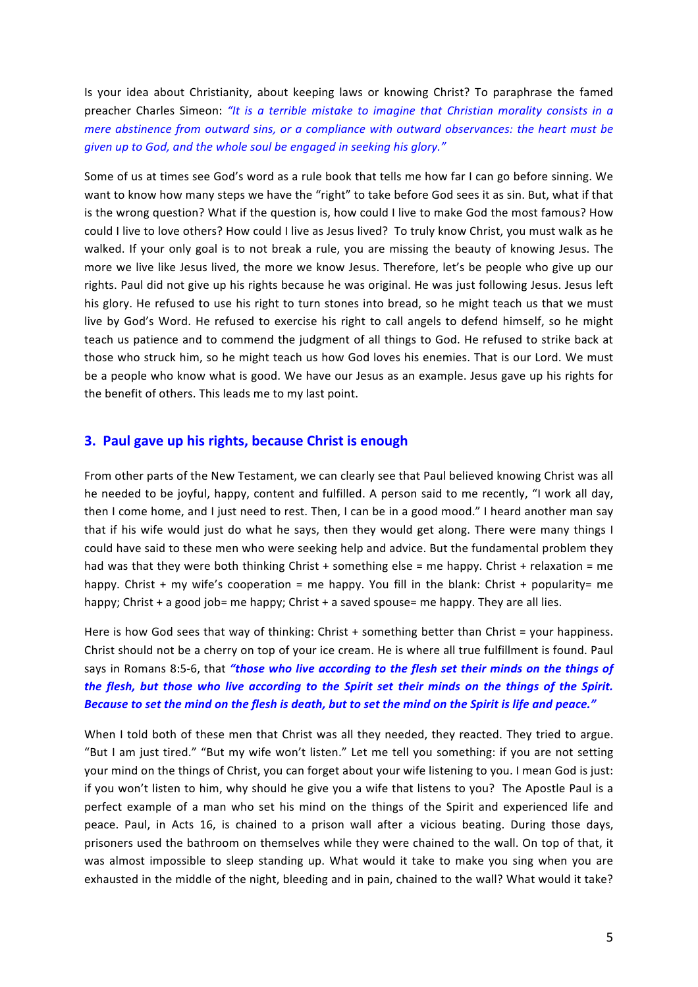Is your idea about Christianity, about keeping laws or knowing Christ? To paraphrase the famed preacher Charles Simeon: "It is a terrible mistake to imagine that Christian morality consists in a *mere abstinence from outward sins, or a compliance with outward observances: the heart must be given up to God, and the whole soul be engaged in seeking his glory."* 

Some of us at times see God's word as a rule book that tells me how far I can go before sinning. We want to know how many steps we have the "right" to take before God sees it as sin. But, what if that is the wrong question? What if the question is, how could I live to make God the most famous? How could I live to love others? How could I live as Jesus lived? To truly know Christ, you must walk as he walked. If your only goal is to not break a rule, you are missing the beauty of knowing Jesus. The more we live like Jesus lived, the more we know Jesus. Therefore, let's be people who give up our rights. Paul did not give up his rights because he was original. He was just following Jesus. Jesus left his glory. He refused to use his right to turn stones into bread, so he might teach us that we must live by God's Word. He refused to exercise his right to call angels to defend himself, so he might teach us patience and to commend the judgment of all things to God. He refused to strike back at those who struck him, so he might teach us how God loves his enemies. That is our Lord. We must be a people who know what is good. We have our Jesus as an example. Jesus gave up his rights for the benefit of others. This leads me to my last point.

#### **3. Paul gave up his rights, because Christ is enough**

From other parts of the New Testament, we can clearly see that Paul believed knowing Christ was all he needed to be joyful, happy, content and fulfilled. A person said to me recently, "I work all day, then I come home, and I just need to rest. Then, I can be in a good mood." I heard another man say that if his wife would just do what he says, then they would get along. There were many things I could have said to these men who were seeking help and advice. But the fundamental problem they had was that they were both thinking Christ + something else = me happy. Christ + relaxation = me happy. Christ  $+$  my wife's cooperation = me happy. You fill in the blank: Christ  $+$  popularity= me happy; Christ  $+$  a good job= me happy; Christ  $+$  a saved spouse= me happy. They are all lies.

Here is how God sees that way of thinking: Christ  $+$  something better than Christ = your happiness. Christ should not be a cherry on top of your ice cream. He is where all true fulfillment is found. Paul says in Romans 8:5-6, that "those who live according to the flesh set their minds on the things of *the flesh, but those who live according to the Spirit set their minds on the things of the Spirit.* Because to set the mind on the flesh is death, but to set the mind on the Spirit is life and peace."

When I told both of these men that Christ was all they needed, they reacted. They tried to argue. "But I am just tired." "But my wife won't listen." Let me tell you something: if you are not setting your mind on the things of Christ, you can forget about your wife listening to you. I mean God is just: if you won't listen to him, why should he give you a wife that listens to you? The Apostle Paul is a perfect example of a man who set his mind on the things of the Spirit and experienced life and peace. Paul, in Acts 16, is chained to a prison wall after a vicious beating. During those days, prisoners used the bathroom on themselves while they were chained to the wall. On top of that, it was almost impossible to sleep standing up. What would it take to make you sing when you are exhausted in the middle of the night, bleeding and in pain, chained to the wall? What would it take?